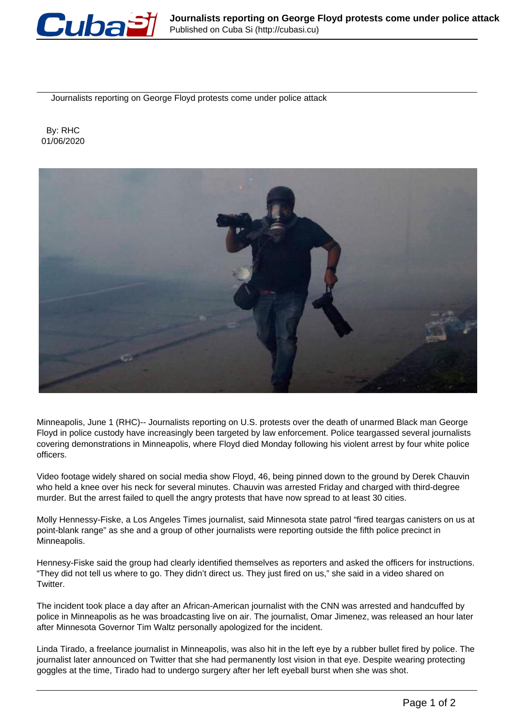

Journalists reporting on George Floyd protests come under police attack

 By: RHC 01/06/2020



Minneapolis, June 1 (RHC)-- Journalists reporting on U.S. protests over the death of unarmed Black man George Floyd in police custody have increasingly been targeted by law enforcement. Police teargassed several journalists covering demonstrations in Minneapolis, where Floyd died Monday following his violent arrest by four white police officers.

Video footage widely shared on social media show Floyd, 46, being pinned down to the ground by Derek Chauvin who held a knee over his neck for several minutes. Chauvin was arrested Friday and charged with third-degree murder. But the arrest failed to quell the angry protests that have now spread to at least 30 cities.

Molly Hennessy-Fiske, a Los Angeles Times journalist, said Minnesota state patrol "fired teargas canisters on us at point-blank range" as she and a group of other journalists were reporting outside the fifth police precinct in Minneapolis.

Hennesy-Fiske said the group had clearly identified themselves as reporters and asked the officers for instructions. "They did not tell us where to go. They didn't direct us. They just fired on us," she said in a video shared on Twitter.

The incident took place a day after an African-American journalist with the CNN was arrested and handcuffed by police in Minneapolis as he was broadcasting live on air. The journalist, Omar Jimenez, was released an hour later after Minnesota Governor Tim Waltz personally apologized for the incident.

Linda Tirado, a freelance journalist in Minneapolis, was also hit in the left eye by a rubber bullet fired by police. The journalist later announced on Twitter that she had permanently lost vision in that eye. Despite wearing protecting goggles at the time, Tirado had to undergo surgery after her left eyeball burst when she was shot.